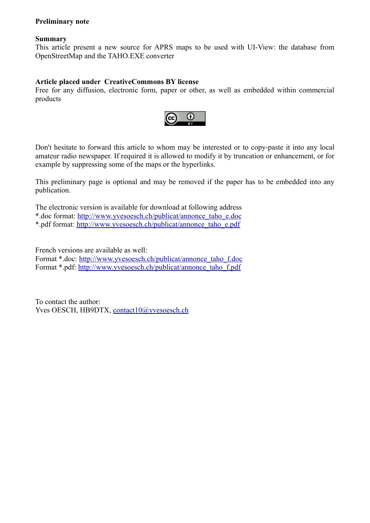### **Preliminary note**

#### **Summary**

This article present a new source for APRS maps to be used with UI-View: the database from OpenStreetMap and the TAHO.EXE converter

### **Article placed under CreativeCommons BY license**

Free for any diffusion, electronic form, paper or other, as well as embedded within commercial products



Don't hesitate to forward this article to whom may be interested or to copy-paste it into any local amateur radio newspaper. If required it is allowed to modify it by truncation or enhancement, or for example by suppressing some of the maps or the hyperlinks.

This preliminary page is optional and may be removed if the paper has to be embedded into any publication.

The electronic version is available for download at following address \*.doc format: [http://www.yvesoesch.ch/publicat/annonce\\_taho\\_e.doc](http://www.yvesoesch.ch/publicat/annonce_taho_e.doc)

\*.pdf format: [http://www.yvesoesch.ch/publicat/annonce\\_taho\\_e.pdf](http://www.yvesoesch.ch/publicat/annonce_taho_e.pdf)

French versions are available as well:

Format \*.doc: [http://www.yvesoesch.ch/publicat/annonce\\_taho\\_f.doc](http://www.yvesoesch.ch/publicat/annonce_taho_f.doc) Format \*.pdf: [http://www.yvesoesch.ch/publicat/annonce\\_taho\\_f.pdf](http://www.yvesoesch.ch/publicat/annonce_taho_f.pdf)

To contact the author: Yves OESCH, HB9DTX, [contact10@yvesoesch.ch](mailto:contact10@yvesoesch.ch)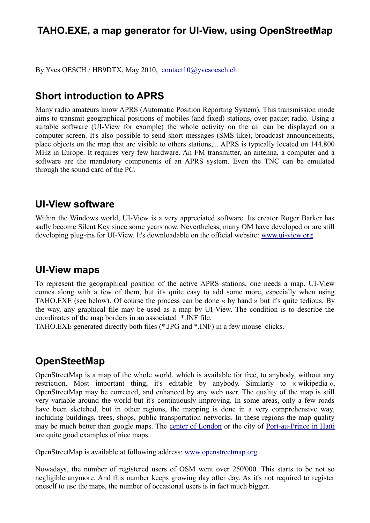By Yves OESCH / HB9DTX, May 2010, [contact10@yvesoesch.ch](mailto:contact10@yvesoesch.ch)

## **Short introduction to APRS**

Many radio amateurs know APRS (Automatic Position Reporting System). This transmission mode aims to transmit geographical positions of mobiles (and fixed) stations, over packet radio. Using a suitable software (UI-View for example) the whole activity on the air can be displayed on a computer screen. It's also possible to send short messages (SMS like), broadcast announcements, place objects on the map that are visible to others stations,... APRS is typically located on 144.800 MHz in Europe. It requires very few hardware. An FM transmitter, an antenna, a computer and a software are the mandatory components of an APRS system. Even the TNC can be emulated through the sound card of the PC.

### **UI-View software**

Within the Windows world, UI-View is a very appreciated software. Its creator Roger Barker has sadly become Silent Key since some years now. Nevertheless, many OM have developed or are still developing plug-ins for UI-View. It's downloadable on the official website: [www.ui-view.org](http://www.ui-view.org/)

### **UI-View maps**

To represent the geographical position of the active APRS stations, one needs a map. UI-View comes along with a few of them, but it's quite easy to add some more, especially when using TAHO.EXE (see below). Of course the process can be done « by hand » but it's quite tedious. By the way, any graphical file may be used as a map by UI-View. The condition is to describe the coordinates of the map borders in an associated \*.INF file.

TAHO.EXE generated directly both files (\*.JPG and \*.INF) in a few mouse clicks.

## **OpenSteetMap**

OpenStreetMap is a map of the whole world, which is available for free, to anybody, without any restriction. Most important thing, it's editable by anybody. Similarly to « wikipedia », OpenStreetMap may be corrected, and enhanced by any web user. The quality of the map is still very variable around the world but it's continuously improving. In some areas, only a few roads have been sketched, but in other regions, the mapping is done in a very comprehensive way, including buildings, trees, shops, public transportation networks. In these regions the map quality may be much better than google maps. The [center of London](http://www.openstreetmap.org/?lat=51.5076&lon=-0.1121&zoom=14&layers=B000FTF) or the city of [Port-au-Prince in Haïti](http://www.openstreetmap.org/?lat=18.5498&lon=-72.3198&zoom=14&layers=B000FTFT) are quite good examples of nice maps.

OpenStreetMap is available at following address: [www.openstreetmap.org](http://www.openstreetmap.org/)

Nowadays, the number of registered users of OSM went over 250'000. This starts to be not so negligible anymore. And this number keeps growing day after day. As it's not required to register oneself to use the maps, the number of occasional users is in fact much bigger.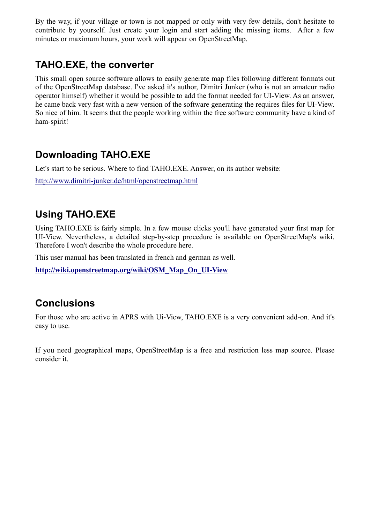By the way, if your village or town is not mapped or only with very few details, don't hesitate to contribute by yourself. Just create your login and start adding the missing items. After a few minutes or maximum hours, your work will appear on OpenStreetMap.

# **TAHO.EXE, the converter**

This small open source software allows to easily generate map files following different formats out of the OpenStreetMap database. I've asked it's author, Dimitri Junker (who is not an amateur radio operator himself) whether it would be possible to add the format needed for UI-View. As an answer, he came back very fast with a new version of the software generating the requires files for UI-View. So nice of him. It seems that the people working within the free software community have a kind of ham-spirit!

## **Downloading TAHO.EXE**

Let's start to be serious. Where to find TAHO.EXE. Answer, on its author website:

<http://www.dimitri-junker.de/html/openstreetmap.html>

# **Using TAHO.EXE**

Using TAHO.EXE is fairly simple. In a few mouse clicks you'll have generated your first map for UI-View. Nevertheless, a detailed step-by-step procedure is available on OpenStreetMap's wiki. Therefore I won't describe the whole procedure here.

This user manual has been translated in french and german as well.

**[http://wiki.openstreetmap.org/wiki/OSM\\_Map\\_On\\_UI-View](http://wiki.openstreetmap.org/wiki/OSM_Map_On_UI-View)**

## **Conclusions**

For those who are active in APRS with Ui-View, TAHO.EXE is a very convenient add-on. And it's easy to use.

If you need geographical maps, OpenStreetMap is a free and restriction less map source. Please consider it.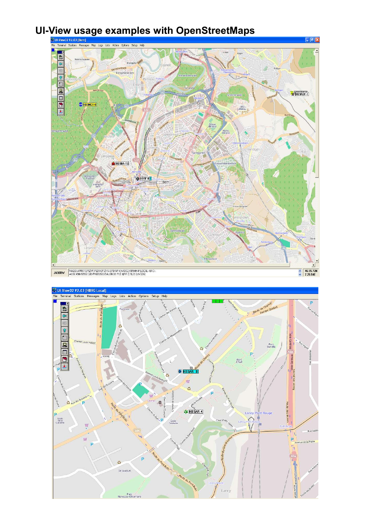



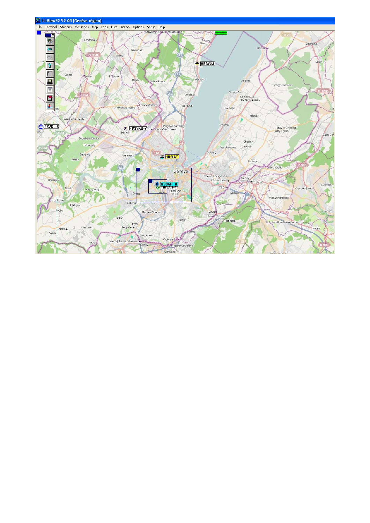